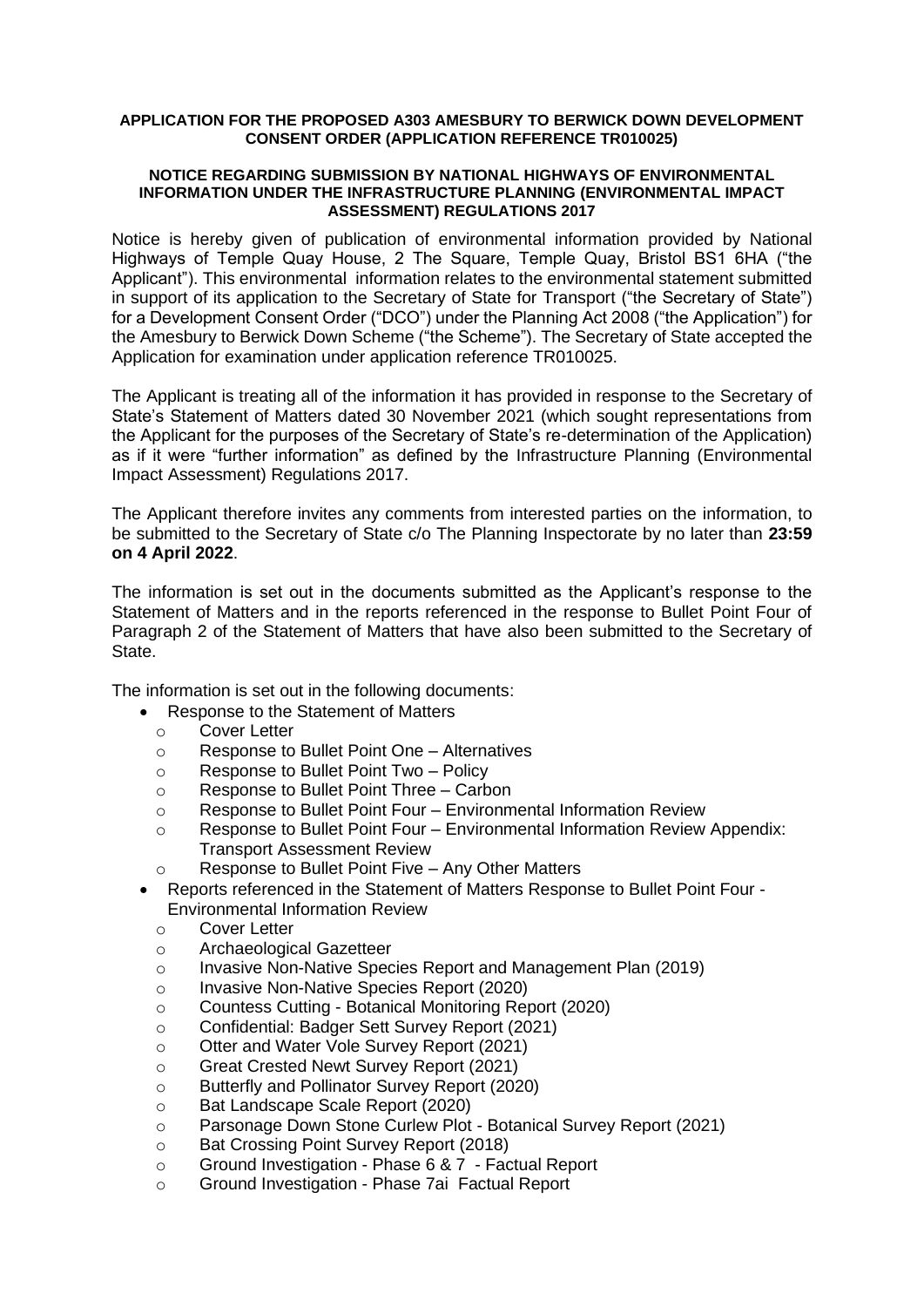#### **APPLICATION FOR THE PROPOSED A303 AMESBURY TO BERWICK DOWN DEVELOPMENT CONSENT ORDER (APPLICATION REFERENCE TR010025)**

#### **NOTICE REGARDING SUBMISSION BY NATIONAL HIGHWAYS OF ENVIRONMENTAL INFORMATION UNDER THE INFRASTRUCTURE PLANNING (ENVIRONMENTAL IMPACT ASSESSMENT) REGULATIONS 2017**

Notice is hereby given of publication of environmental information provided by National Highways of Temple Quay House, 2 The Square, Temple Quay, Bristol BS1 6HA ("the Applicant"). This environmental information relates to the environmental statement submitted in support of its application to the Secretary of State for Transport ("the Secretary of State") for a Development Consent Order ("DCO") under the Planning Act 2008 ("the Application") for the Amesbury to Berwick Down Scheme ("the Scheme"). The Secretary of State accepted the Application for examination under application reference TR010025.

The Applicant is treating all of the information it has provided in response to the Secretary of State's Statement of Matters dated 30 November 2021 (which sought representations from the Applicant for the purposes of the Secretary of State's re-determination of the Application) as if it were "further information" as defined by the Infrastructure Planning (Environmental Impact Assessment) Regulations 2017.

The Applicant therefore invites any comments from interested parties on the information, to be submitted to the Secretary of State c/o The Planning Inspectorate by no later than **23:59 on 4 April 2022**.

The information is set out in the documents submitted as the Applicant's response to the Statement of Matters and in the reports referenced in the response to Bullet Point Four of Paragraph 2 of the Statement of Matters that have also been submitted to the Secretary of State.

The information is set out in the following documents:

- Response to the Statement of Matters
	- o Cover Letter
	- o Response to Bullet Point One Alternatives
	- o Response to Bullet Point Two Policy
	- o Response to Bullet Point Three Carbon
	- o Response to Bullet Point Four Environmental Information Review
	- o Response to Bullet Point Four Environmental Information Review Appendix: Transport Assessment Review
	- o Response to Bullet Point Five Any Other Matters
- Reports referenced in the Statement of Matters Response to Bullet Point Four Environmental Information Review
	- o Cover Letter
	- o Archaeological Gazetteer
	- o Invasive Non-Native Species Report and Management Plan (2019)
	- o Invasive Non-Native Species Report (2020)
	- o Countess Cutting Botanical Monitoring Report (2020)
	- o Confidential: Badger Sett Survey Report (2021)
	- o Otter and Water Vole Survey Report (2021)
	- o Great Crested Newt Survey Report (2021)
	- o Butterfly and Pollinator Survey Report (2020)
	- o Bat Landscape Scale Report (2020)
	- o Parsonage Down Stone Curlew Plot Botanical Survey Report (2021)
	- o Bat Crossing Point Survey Report (2018)
	- o Ground Investigation Phase 6 & 7 Factual Report
	- o Ground Investigation Phase 7ai Factual Report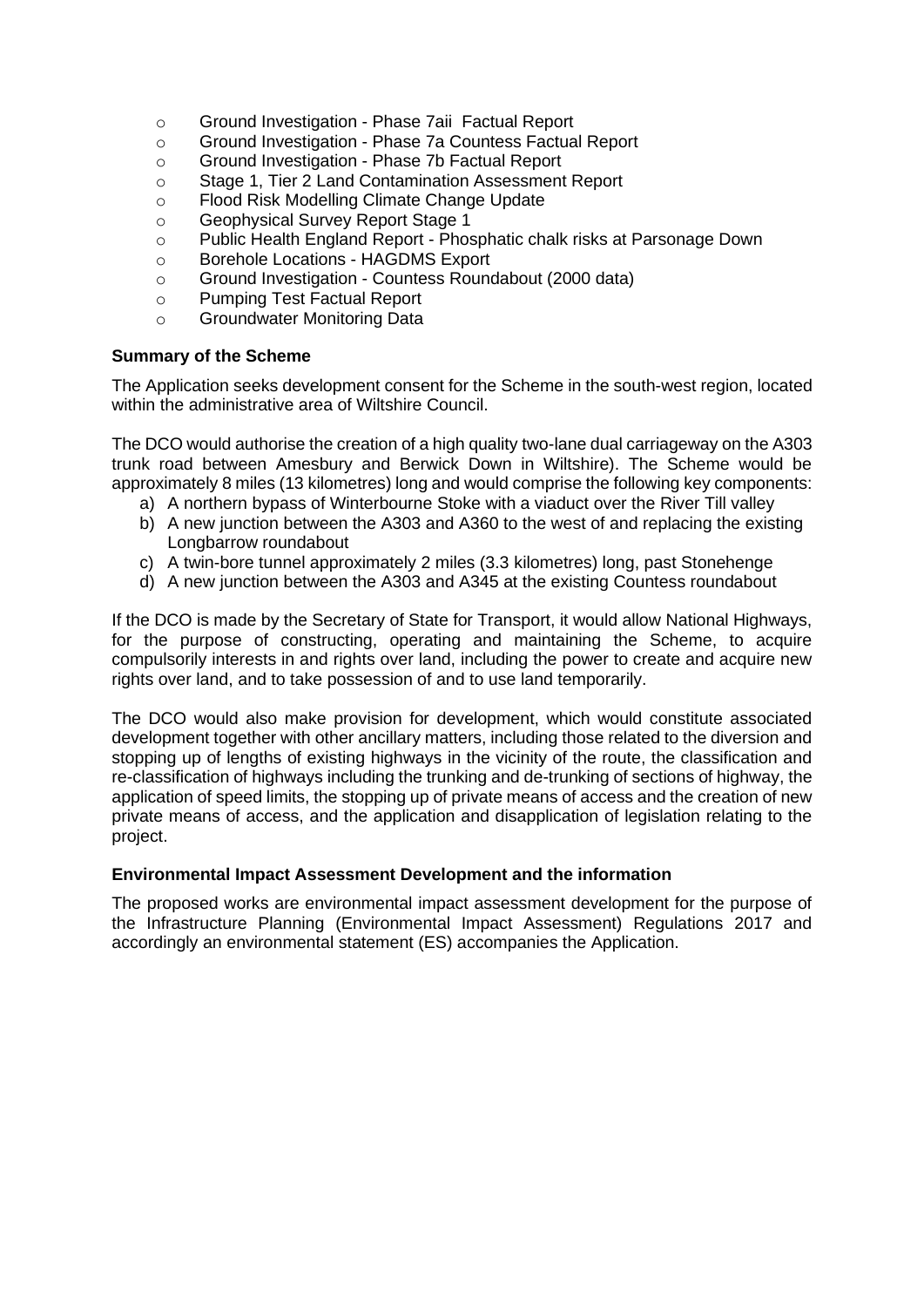- o Ground Investigation Phase 7aii Factual Report
- o Ground Investigation Phase 7a Countess Factual Report
- o Ground Investigation Phase 7b Factual Report
- o Stage 1, Tier 2 Land Contamination Assessment Report
- o Flood Risk Modelling Climate Change Update
- o Geophysical Survey Report Stage 1
- o Public Health England Report Phosphatic chalk risks at Parsonage Down
- o Borehole Locations HAGDMS Export
- o Ground Investigation Countess Roundabout (2000 data)
- o Pumping Test Factual Report
- o Groundwater Monitoring Data

## **Summary of the Scheme**

The Application seeks development consent for the Scheme in the south-west region, located within the administrative area of Wiltshire Council.

The DCO would authorise the creation of a high quality two-lane dual carriageway on the A303 trunk road between Amesbury and Berwick Down in Wiltshire). The Scheme would be approximately 8 miles (13 kilometres) long and would comprise the following key components:

- a) A northern bypass of Winterbourne Stoke with a viaduct over the River Till valley
- b) A new junction between the A303 and A360 to the west of and replacing the existing Longbarrow roundabout
- c) A twin-bore tunnel approximately 2 miles (3.3 kilometres) long, past Stonehenge
- d) A new junction between the A303 and A345 at the existing Countess roundabout

If the DCO is made by the Secretary of State for Transport, it would allow National Highways, for the purpose of constructing, operating and maintaining the Scheme, to acquire compulsorily interests in and rights over land, including the power to create and acquire new rights over land, and to take possession of and to use land temporarily.

The DCO would also make provision for development, which would constitute associated development together with other ancillary matters, including those related to the diversion and stopping up of lengths of existing highways in the vicinity of the route, the classification and re-classification of highways including the trunking and de-trunking of sections of highway, the application of speed limits, the stopping up of private means of access and the creation of new private means of access, and the application and disapplication of legislation relating to the project.

## **Environmental Impact Assessment Development and the information**

The proposed works are environmental impact assessment development for the purpose of the Infrastructure Planning (Environmental Impact Assessment) Regulations 2017 and accordingly an environmental statement (ES) accompanies the Application.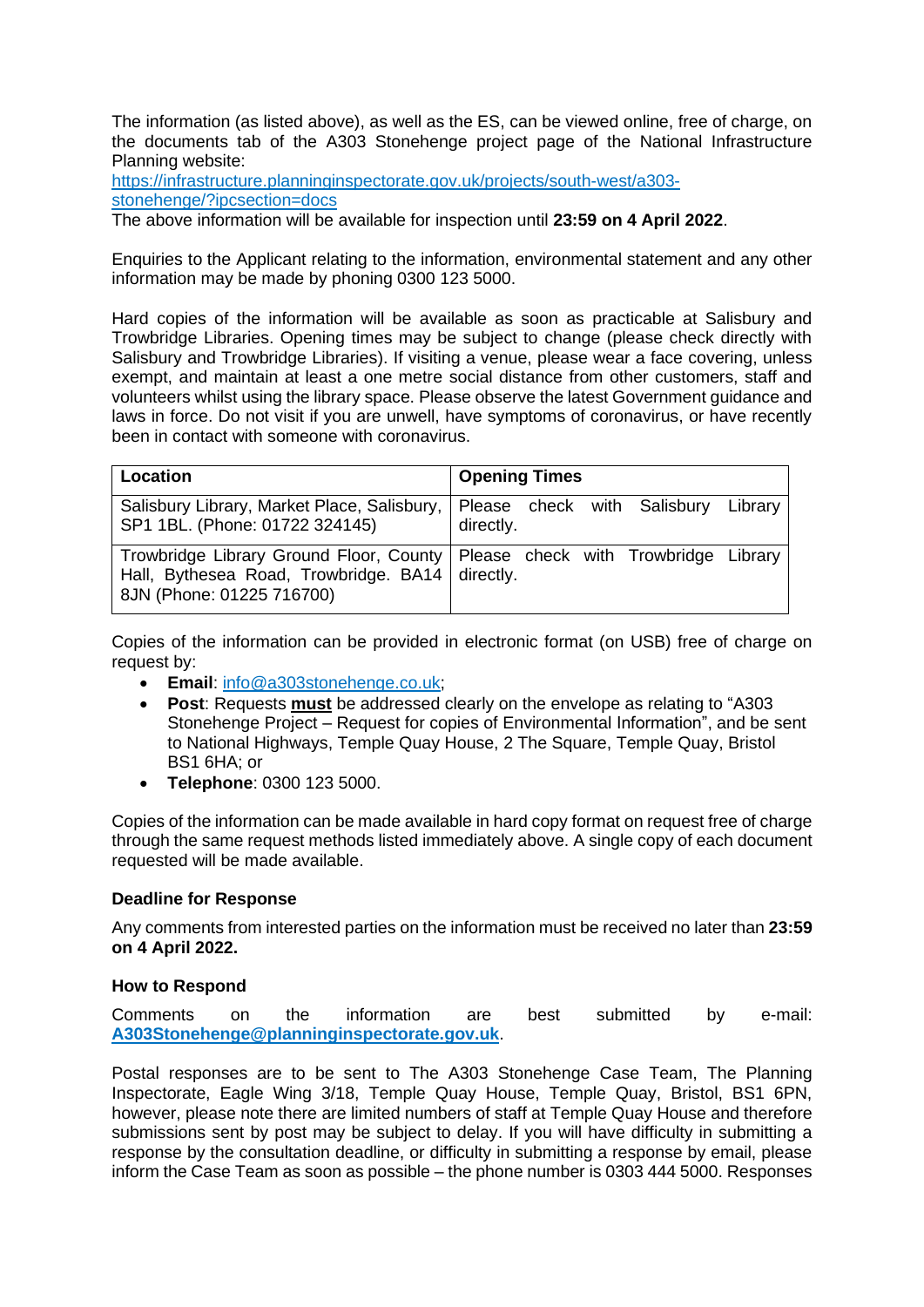The information (as listed above), as well as the ES, can be viewed online, free of charge, on the documents tab of the A303 Stonehenge project page of the National Infrastructure Planning website:

[https://infrastructure.planninginspectorate.gov.uk/projects/south-west/a303](https://infrastructure.planninginspectorate.gov.uk/projects/south-west/a303-stonehenge/?ipcsection=docs) [stonehenge/?ipcsection=docs](https://infrastructure.planninginspectorate.gov.uk/projects/south-west/a303-stonehenge/?ipcsection=docs)

The above information will be available for inspection until **23:59 on 4 April 2022**.

Enquiries to the Applicant relating to the information, environmental statement and any other information may be made by phoning 0300 123 5000.

Hard copies of the information will be available as soon as practicable at Salisbury and Trowbridge Libraries. Opening times may be subject to change (please check directly with Salisbury and Trowbridge Libraries). If visiting a venue, please wear a face covering, unless exempt, and maintain at least a one metre social distance from other customers, staff and volunteers whilst using the library space. Please observe the latest Government guidance and laws in force. Do not visit if you are unwell, have symptoms of coronavirus, or have recently been in contact with someone with coronavirus.

| Location                                                                       | <b>Opening Times</b>                                                           |
|--------------------------------------------------------------------------------|--------------------------------------------------------------------------------|
| Salisbury Library, Market Place, Salisbury,<br>SP1 1BL. (Phone: 01722 324145)  | Please check with Salisbury Library<br>directly.                               |
| Hall, Bythesea Road, Trowbridge. BA14   directly.<br>8JN (Phone: 01225 716700) | Trowbridge Library Ground Floor, County   Please check with Trowbridge Library |

Copies of the information can be provided in electronic format (on USB) free of charge on request by:

- **Email**: [info@a303stonehenge.co.uk;](mailto:info@a303stonehenge.co.uk)
- **Post**: Requests **must** be addressed clearly on the envelope as relating to "A303 Stonehenge Project – Request for copies of Environmental Information<sup>"</sup>, and be sent to National Highways, Temple Quay House, 2 The Square, Temple Quay, Bristol BS1 6HA; or
- **Telephone**: 0300 123 5000.

Copies of the information can be made available in hard copy format on request free of charge through the same request methods listed immediately above. A single copy of each document requested will be made available.

## **Deadline for Response**

Any comments from interested parties on the information must be received no later than **23:59 on 4 April 2022.**

# **How to Respond**

Comments on the information are best submitted by e-mail: **[A303Stonehenge@planninginspectorate.gov.uk](mailto:A303Stonehenge@planninginspectorate.gov.uk)**.

Postal responses are to be sent to The A303 Stonehenge Case Team, The Planning Inspectorate, Eagle Wing 3/18, Temple Quay House, Temple Quay, Bristol, BS1 6PN, however, please note there are limited numbers of staff at Temple Quay House and therefore submissions sent by post may be subject to delay. If you will have difficulty in submitting a response by the consultation deadline, or difficulty in submitting a response by email, please inform the Case Team as soon as possible – the phone number is 0303 444 5000. Responses